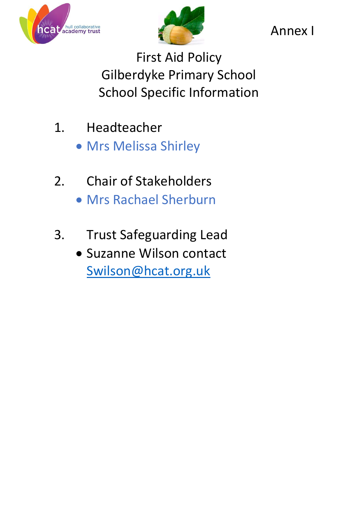



Annex I

First Aid Policy Gilberdyke Primary School School Specific Information

- 1. Headteacher Mrs Melissa Shirley
- 2. Chair of Stakeholders Mrs Rachael Sherburn
- 3. Trust Safeguarding Lead
	- Suzanne Wilson contact [Swilson@hcat.org.uk](mailto:Swilson@hcat.org.uk)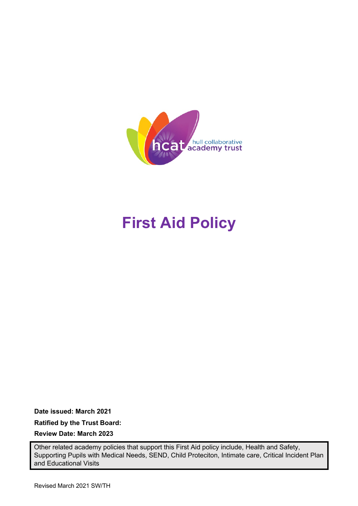

# **First Aid Policy**

**Date issued: March 2021 Ratified by the Trust Board: Review Date: March 2023**

Other related academy policies that support this First Aid policy include, Health and Safety, Supporting Pupils with Medical Needs, SEND, Child Proteciton, Intimate care, Critical Incident Plan and Educational Visits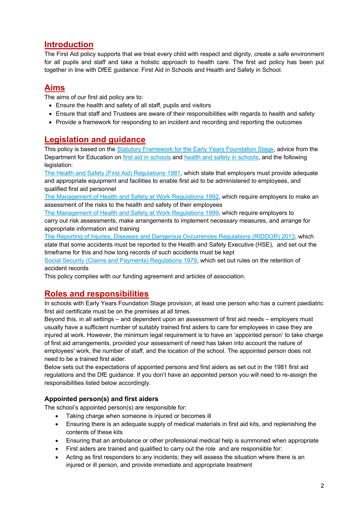# **Introduction**

The First Aid policy supports that we treat every child with respect and dignity, create a safe environment for all pupils and staff and take a holistic approach to health care. The first aid policy has been put together in line with DfEE guidance: First Aid in Schools and Health and Safety in School.

## **Aims**

The aims of our first aid policy are to:

- Ensure the health and safety of all staff, pupils and visitors
- Ensure that staff and Trustees are aware of their responsibilities with regards to health and safety
- Provide a framework for responding to an incident and recording and reporting the outcomes

## **Legislation and guidance**

This policy is based on the Statutory Framework for the Early Years Foundation Stage, advice from the Department for Education on first aid in schools and health and safety in schools, and the following legislation:

The Health and Safety (First Aid) Regulations 1981, which state that employers must provide adequate and appropriate equipment and facilities to enable first aid to be administered to employees, and qualified first aid personnel

The Management of Health and Safety at Work Regulations 1992, which require employers to make an assessment of the risks to the health and safety of their employees

The Management of Health and Safety at Work Regulations 1999, which require employers to carry out risk assessments, make arrangements to implement necessary measures, and arrange for appropriate information and training

The Reporting of Injuries, Diseases and Dangerous Occurrences Regulations (RIDDOR) 2013, which state that some accidents must be reported to the Health and Safety Executive (HSE), and set out the timeframe for this and how long records of such accidents must be kept

Social Security (Claims and Payments) Regulations 1979, which set out rules on the retention of accident records

This policy complies with our funding agreement and articles of association.

## **Roles and responsibilities**

In schools with Early Years Foundation Stage provision, at least one person who has a current paediatric first aid certificate must be on the premises at all times.

Beyond this, in all settings – and dependent upon an assessment of first aid needs – employers must usually have a sufficient number of suitably trained first aiders to care for employees in case they are injured at work. However, the minimum legal requirement is to have an 'appointed person' to take charge of first aid arrangements, provided your assessment of need has taken into account the nature of employees' work, the number of staff, and the location of the school. The appointed person does not need to be a trained first aider.

Below sets out the expectations of appointed persons and first aiders as set out in the 1981 first aid regulations and the DfE guidance. If you don't have an appointed person you will need to re-assign the responsibilities listed below accordingly.

#### **Appointed person(s) and first aiders**

The school's appointed person(s) are responsible for:

- Taking charge when someone is injured or becomes ill
- Ensuring there is an adequate supply of medical materials in first aid kits, and replenishing the contents of these kits
- Ensuring that an ambulance or other professional medical help is summoned when appropriate
- First aiders are trained and qualified to carry out the role and are responsible for:
- Acting as first responders to any incidents; they will assess the situation where there is an injured or ill person, and provide immediate and appropriate treatment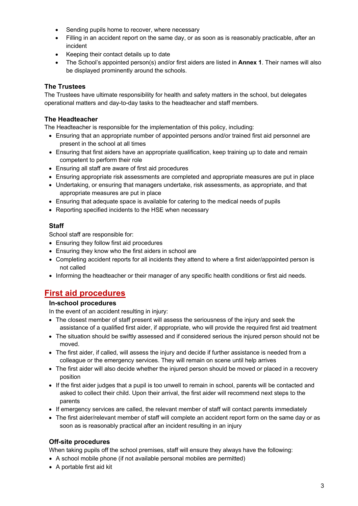- Sending pupils home to recover, where necessary
- Filling in an accident report on the same day, or as soon as is reasonably practicable, after an incident
- Keeping their contact details up to date
- The School's appointed person(s) and/or first aiders are listed in **Annex 1**. Their names will also be displayed prominently around the schools.

#### **The Trustees**

The Trustees have ultimate responsibility for health and safety matters in the school, but delegates operational matters and day-to-day tasks to the headteacher and staff members.

#### **The Headteacher**

The Headteacher is responsible for the implementation of this policy, including:

- Ensuring that an appropriate number of appointed persons and/or trained first aid personnel are present in the school at all times
- Ensuring that first aiders have an appropriate qualification, keep training up to date and remain competent to perform their role
- Ensuring all staff are aware of first aid procedures
- Ensuring appropriate risk assessments are completed and appropriate measures are put in place
- Undertaking, or ensuring that managers undertake, risk assessments, as appropriate, and that appropriate measures are put in place
- Ensuring that adequate space is available for catering to the medical needs of pupils
- Reporting specified incidents to the HSE when necessary

#### **Staff**

School staff are responsible for:

- Ensuring they follow first aid procedures
- Ensuring they know who the first aiders in school are
- Completing accident reports for all incidents they attend to where a first aider/appointed person is not called
- Informing the headteacher or their manager of any specific health conditions or first aid needs.

# **First aid procedures**

#### **In-school procedures**

In the event of an accident resulting in injury:

- The closest member of staff present will assess the seriousness of the injury and seek the assistance of a qualified first aider, if appropriate, who will provide the required first aid treatment
- The situation should be swiftly assessed and if considered serious the injured person should not be moved.
- The first aider, if called, will assess the injury and decide if further assistance is needed from a colleague or the emergency services. They will remain on scene until help arrives
- The first aider will also decide whether the injured person should be moved or placed in a recovery position
- If the first aider judges that a pupil is too unwell to remain in school, parents will be contacted and asked to collect their child. Upon their arrival, the first aider will recommend next steps to the parents
- If emergency services are called, the relevant member of staff will contact parents immediately
- The first aider/relevant member of staff will complete an accident report form on the same day or as soon as is reasonably practical after an incident resulting in an injury

#### **Off-site procedures**

When taking pupils off the school premises, staff will ensure they always have the following:

- A school mobile phone (if not available personal mobiles are permitted)
- A portable first aid kit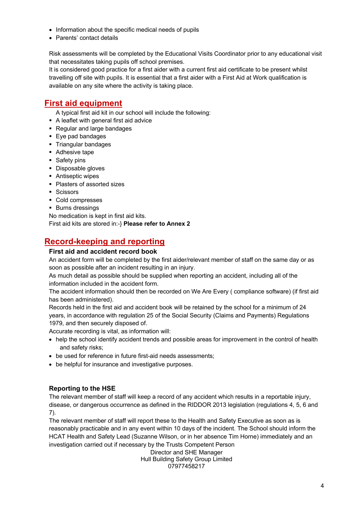- Information about the specific medical needs of pupils
- Parents' contact details

Risk assessments will be completed by the Educational Visits Coordinator prior to any educational visit that necessitates taking pupils off school premises.

It is considered good practice for a first aider with a current first aid certificate to be present whilst travelling off site with pupils. It is essential that a first aider with a First Aid at Work qualification is available on any site where the activity is taking place.

## **First aid equipment**

A typical first aid kit in our school will include the following:

- A leaflet with general first aid advice
- Regular and large bandages
- Eye pad bandages
- § Triangular bandages
- Adhesive tape
- Safety pins
- § Disposable gloves
- Antiseptic wipes
- Plasters of assorted sizes
- Scissors
- Cold compresses
- Burns dressings

No medication is kept in first aid kits.

First aid kits are stored in:-} **Please refer to Annex 2**

## **Record-keeping and reporting**

#### **First aid and accident record book**

An accident form will be completed by the first aider/relevant member of staff on the same day or as soon as possible after an incident resulting in an injury.

As much detail as possible should be supplied when reporting an accident, including all of the information included in the accident form.

The accident information should then be recorded on We Are Every ( compliance software) (if first aid has been administered).

Records held in the first aid and accident book will be retained by the school for a minimum of 24 years, in accordance with regulation 25 of the Social Security (Claims and Payments) Regulations 1979, and then securely disposed of.

Accurate recording is vital, as information will:

- help the school identify accident trends and possible areas for improvement in the control of health and safety risks;
- be used for reference in future first-aid needs assessments;
- be helpful for insurance and investigative purposes.

#### **Reporting to the HSE**

The relevant member of staff will keep a record of any accident which results in a reportable injury, disease, or dangerous occurrence as defined in the RIDDOR 2013 legislation (regulations 4, 5, 6 and 7).

The relevant member of staff will report these to the Health and Safety Executive as soon as is reasonably practicable and in any event within 10 days of the incident. The School should inform the HCAT Health and Safety Lead (Suzanne Wilson, or in her absence Tim Horne) immediately and an investigation carried out if necessary by the Trusts Competent Person

> Director and SHE Manager Hull Building Safety Group Limited 07977458217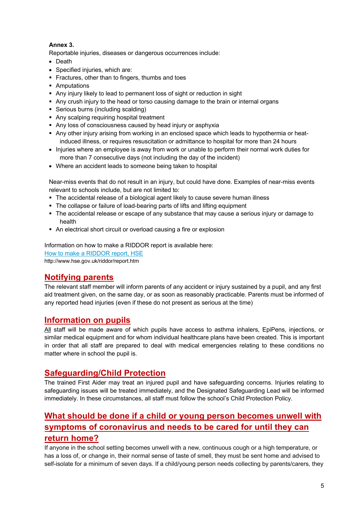#### **Annex 3.**

Reportable injuries, diseases or dangerous occurrences include:

- Death
- Specified injuries, which are:
- Fractures, other than to fingers, thumbs and toes
- Amputations
- § Any injury likely to lead to permanent loss of sight or reduction in sight
- § Any crush injury to the head or torso causing damage to the brain or internal organs
- Serious burns (including scalding)
- Any scalping requiring hospital treatment
- Any loss of consciousness caused by head injury or asphyxia
- § Any other injury arising from working in an enclosed space which leads to hypothermia or heatinduced illness, or requires resuscitation or admittance to hospital for more than 24 hours
- Injuries where an employee is away from work or unable to perform their normal work duties for more than 7 consecutive days (not including the day of the incident)
- Where an accident leads to someone being taken to hospital

Near-miss events that do not result in an injury, but could have done. Examples of near-miss events relevant to schools include, but are not limited to:

- § The accidental release of a biological agent likely to cause severe human illness
- The collapse or failure of load-bearing parts of lifts and lifting equipment
- The accidental release or escape of any substance that may cause a serious injury or damage to health
- An electrical short circuit or overload causing a fire or explosion

Information on how to make a RIDDOR report is available here: How to make a RIDDOR report, HSE

http://www.hse.gov.uk/riddor/report.htm

## **Notifying parents**

The relevant staff member will inform parents of any accident or injury sustained by a pupil, and any first aid treatment given, on the same day, or as soon as reasonably practicable. Parents must be informed of any reported head injuries (even if these do not present as serious at the time)

## **Information on pupils**

All staff will be made aware of which pupils have access to asthma inhalers, EpiPens, injections, or similar medical equipment and for whom individual healthcare plans have been created. This is important in order that all staff are prepared to deal with medical emergencies relating to these conditions no matter where in school the pupil is.

## **Safeguarding/Child Protection**

The trained First Aider may treat an injured pupil and have safeguarding concerns. Injuries relating to safeguarding issues will be treated immediately, and the Designated Safeguarding Lead will be informed immediately. In these circumstances, all staff must follow the school's Child Protection Policy.

# **What should be done if a child or young person becomes unwell with symptoms of coronavirus and needs to be cared for until they can return home?**

If anyone in the school setting becomes unwell with a new, continuous cough or a high temperature, or has a loss of, or change in, their normal sense of taste of smell, they must be sent home and advised to self-isolate for a minimum of seven days. If a child/young person needs collecting by parents/carers, they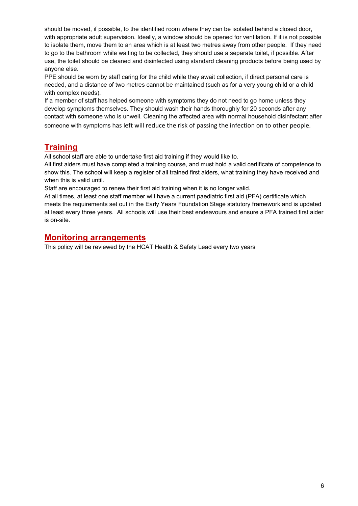should be moved, if possible, to the identified room where they can be isolated behind a closed door, with appropriate adult supervision. Ideally, a window should be opened for ventilation. If it is not possible to isolate them, move them to an area which is at least two metres away from other people. If they need to go to the bathroom while waiting to be collected, they should use a separate toilet, if possible. After use, the toilet should be cleaned and disinfected using standard cleaning products before being used by anyone else.

PPE should be worn by staff caring for the child while they await collection, if direct personal care is needed, and a distance of two metres cannot be maintained (such as for a very young child or a child with complex needs).

If a member of staff has helped someone with symptoms they do not need to go home unless they develop symptoms themselves. They should wash their hands thoroughly for 20 seconds after any contact with someone who is unwell. Cleaning the affected area with normal household disinfectant after someone with symptoms has left will reduce the risk of passing the infection on to other people.

# **Training**

All school staff are able to undertake first aid training if they would like to.

All first aiders must have completed a training course, and must hold a valid certificate of competence to show this. The school will keep a register of all trained first aiders, what training they have received and when this is valid until.

Staff are encouraged to renew their first aid training when it is no longer valid.

At all times, at least one staff member will have a current paediatric first aid (PFA) certificate which meets the requirements set out in the Early Years Foundation Stage statutory framework and is updated at least every three years. All schools will use their best endeavours and ensure a PFA trained first aider is on-site.

## **Monitoring arrangements**

This policy will be reviewed by the HCAT Health & Safety Lead every two years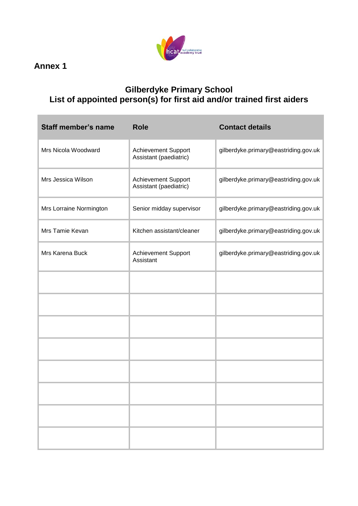

# **Annex 1**

## **Gilberdyke Primary School List of appointed person(s) for first aid and/or trained first aiders**

| <b>Staff member's name</b> | <b>Role</b>                                          | <b>Contact details</b>               |
|----------------------------|------------------------------------------------------|--------------------------------------|
| Mrs Nicola Woodward        | <b>Achievement Support</b><br>Assistant (paediatric) | gilberdyke.primary@eastriding.gov.uk |
| Mrs Jessica Wilson         | <b>Achievement Support</b><br>Assistant (paediatric) | gilberdyke.primary@eastriding.gov.uk |
| Mrs Lorraine Normington    | Senior midday supervisor                             | gilberdyke.primary@eastriding.gov.uk |
| Mrs Tamie Kevan            | Kitchen assistant/cleaner                            | gilberdyke.primary@eastriding.gov.uk |
| Mrs Karena Buck            | <b>Achievement Support</b><br>Assistant              | gilberdyke.primary@eastriding.gov.uk |
|                            |                                                      |                                      |
|                            |                                                      |                                      |
|                            |                                                      |                                      |
|                            |                                                      |                                      |
|                            |                                                      |                                      |
|                            |                                                      |                                      |
|                            |                                                      |                                      |
|                            |                                                      |                                      |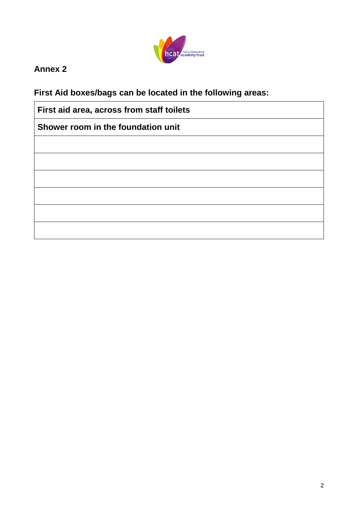

# **Annex 2**

**First Aid boxes/bags can be located in the following areas:**

| First aid area, across from staff toilets |  |  |
|-------------------------------------------|--|--|
| Shower room in the foundation unit        |  |  |
|                                           |  |  |
|                                           |  |  |
|                                           |  |  |
|                                           |  |  |
|                                           |  |  |
|                                           |  |  |
|                                           |  |  |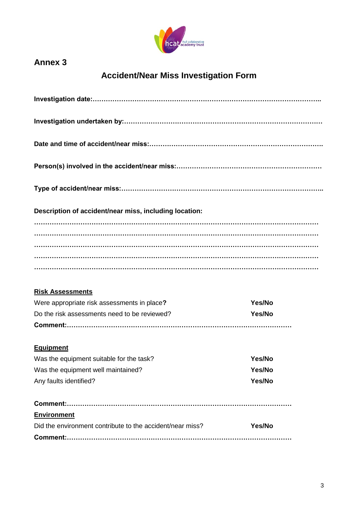

## **Annex 3**

# **Accident/Near Miss Investigation Form**

| Description of accident/near miss, including location:    |        |
|-----------------------------------------------------------|--------|
|                                                           |        |
|                                                           |        |
|                                                           |        |
|                                                           |        |
| <b>Risk Assessments</b>                                   |        |
| Were appropriate risk assessments in place?               | Yes/No |
| Do the risk assessments need to be reviewed?              | Yes/No |
|                                                           |        |
| <b>Equipment</b>                                          |        |
| Was the equipment suitable for the task?                  | Yes/No |
| Was the equipment well maintained?                        | Yes/No |
| Any faults identified?                                    | Yes/No |
|                                                           |        |
| <b>Environment</b>                                        |        |
| Did the environment contribute to the accident/near miss? | Yes/No |
|                                                           |        |